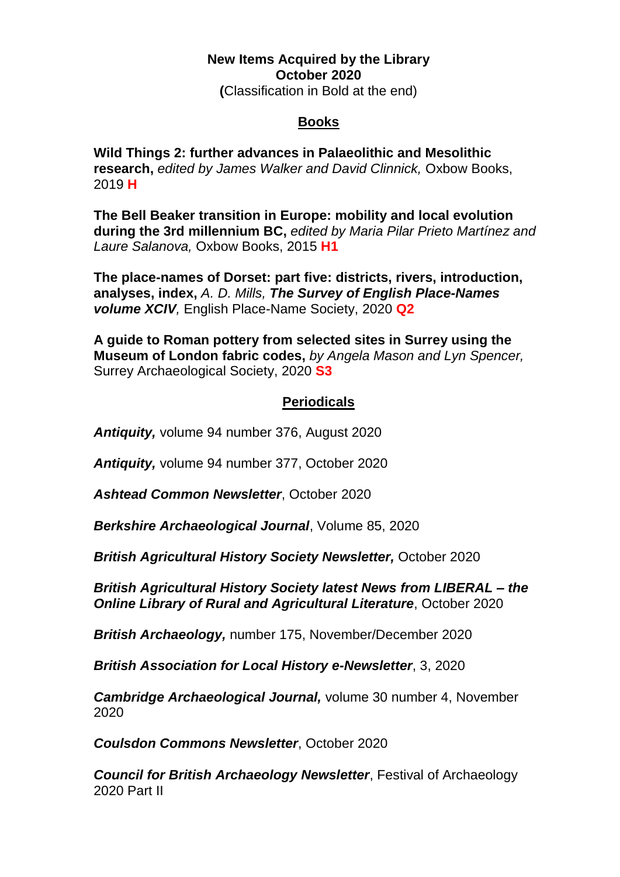## **New Items Acquired by the Library October 2020 (**Classification in Bold at the end)

## **Books**

**Wild Things 2: further advances in Palaeolithic and Mesolithic research,** *edited by James Walker and David Clinnick,* Oxbow Books, 2019 **H**

**The Bell Beaker transition in Europe: mobility and local evolution during the 3rd millennium BC,** *edited by Maria Pilar Prieto Martínez and Laure Salanova,* Oxbow Books, 2015 **H1**

**The place-names of Dorset: part five: districts, rivers, introduction, analyses, index,** *A. D. Mills, The Survey of English Place-Names volume XCIV,* English Place-Name Society, 2020 **Q2**

**A guide to Roman pottery from selected sites in Surrey using the Museum of London fabric codes,** *by Angela Mason and Lyn Spencer,* Surrey Archaeological Society, 2020 **S3**

## **Periodicals**

*Antiquity,* volume 94 number 376, August 2020

*Antiquity,* volume 94 number 377, October 2020

*Ashtead Common Newsletter*, October 2020

*Berkshire Archaeological Journal*, Volume 85, 2020

*British Agricultural History Society Newsletter,* October 2020

*British Agricultural History Society latest News from LIBERAL – the Online Library of Rural and Agricultural Literature*, October 2020

*British Archaeology,* number 175, November/December 2020

*British Association for Local History e-Newsletter*, 3, 2020

*Cambridge Archaeological Journal,* volume 30 number 4, November 2020

*Coulsdon Commons Newsletter*, October 2020

*Council for British Archaeology Newsletter*, Festival of Archaeology 2020 Part II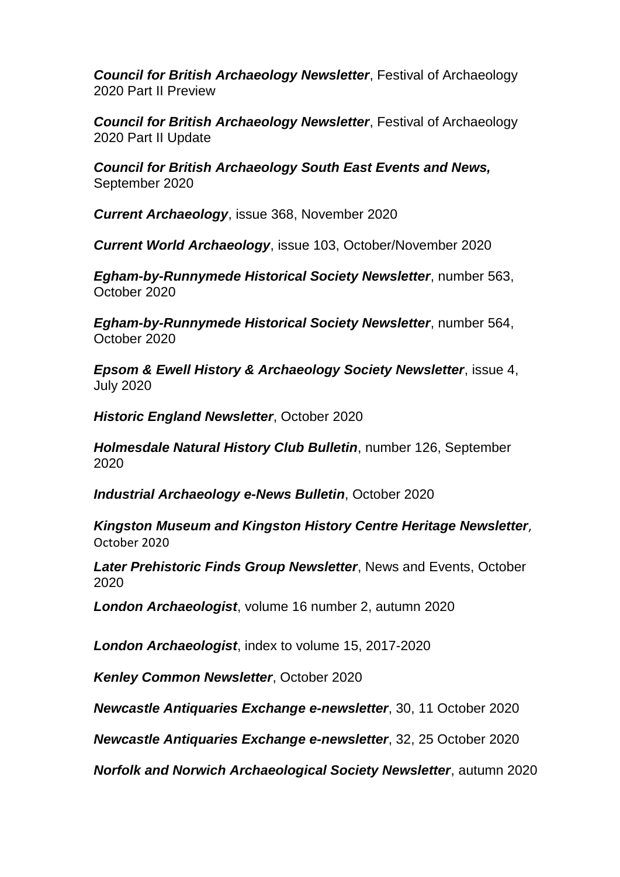*Council for British Archaeology Newsletter*, Festival of Archaeology 2020 Part II Preview

*Council for British Archaeology Newsletter*, Festival of Archaeology 2020 Part II Update

*Council for British Archaeology South East Events and News,*  September 2020

*Current Archaeology*, issue 368, November 2020

*Current World Archaeology*, issue 103, October/November 2020

*Egham-by-Runnymede Historical Society Newsletter*, number 563, October 2020

*Egham-by-Runnymede Historical Society Newsletter*, number 564, October 2020

*Epsom & Ewell History & Archaeology Society Newsletter*, issue 4, July 2020

*Historic England Newsletter*, October 2020

*Holmesdale Natural History Club Bulletin*, number 126, September 2020

*Industrial Archaeology e-News Bulletin*, October 2020

*Kingston Museum and Kingston History Centre Heritage Newsletter*, October 2020

*Later Prehistoric Finds Group Newsletter*, News and Events, October 2020

*London Archaeologist*, volume 16 number 2, autumn 2020

*London Archaeologist*, index to volume 15, 2017-2020

*Kenley Common Newsletter*, October 2020

*Newcastle Antiquaries Exchange e-newsletter*, 30, 11 October 2020

*Newcastle Antiquaries Exchange e-newsletter*, 32, 25 October 2020

*Norfolk and Norwich Archaeological Society Newsletter*, autumn 2020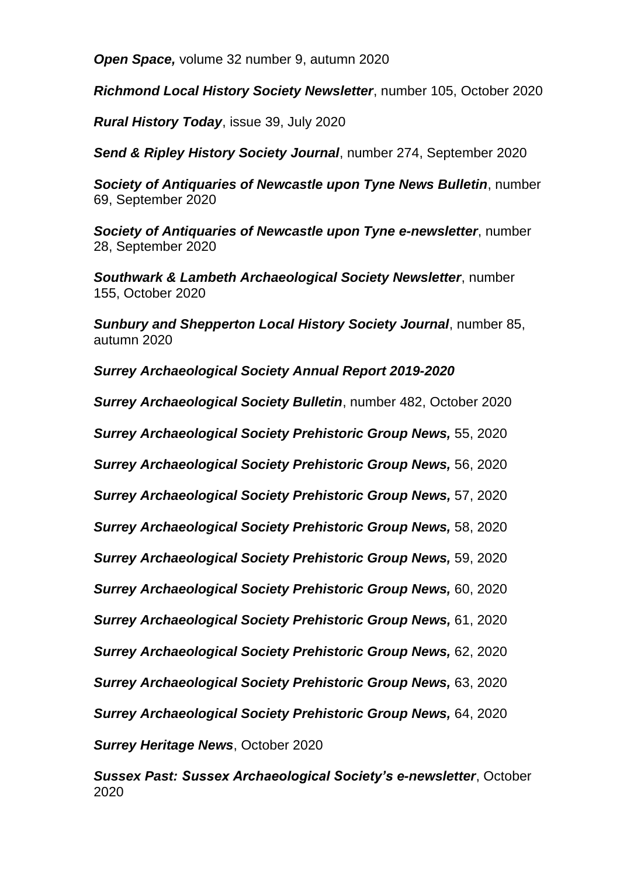*Open Space,* volume 32 number 9, autumn 2020

*Richmond Local History Society Newsletter*, number 105, October 2020

*Rural History Today*, issue 39, July 2020

*Send & Ripley History Society Journal*, number 274, September 2020

*Society of Antiquaries of Newcastle upon Tyne News Bulletin*, number 69, September 2020

*Society of Antiquaries of Newcastle upon Tyne e-newsletter*, number 28, September 2020

*Southwark & Lambeth Archaeological Society Newsletter*, number 155, October 2020

*Sunbury and Shepperton Local History Society Journal*, number 85, autumn 2020

*Surrey Archaeological Society Annual Report 2019-2020*

*Surrey Archaeological Society Bulletin*, number 482, October 2020

*Surrey Archaeological Society Prehistoric Group News,* 55, 2020

*Surrey Archaeological Society Prehistoric Group News,* 56, 2020

*Surrey Archaeological Society Prehistoric Group News,* 57, 2020

*Surrey Archaeological Society Prehistoric Group News,* 58, 2020

*Surrey Archaeological Society Prehistoric Group News,* 59, 2020

*Surrey Archaeological Society Prehistoric Group News,* 60, 2020

*Surrey Archaeological Society Prehistoric Group News,* 61, 2020

*Surrey Archaeological Society Prehistoric Group News,* 62, 2020

*Surrey Archaeological Society Prehistoric Group News,* 63, 2020

*Surrey Archaeological Society Prehistoric Group News,* 64, 2020

*Surrey Heritage News*, October 2020

*Sussex Past: Sussex Archaeological Society's e-newsletter*, October 2020